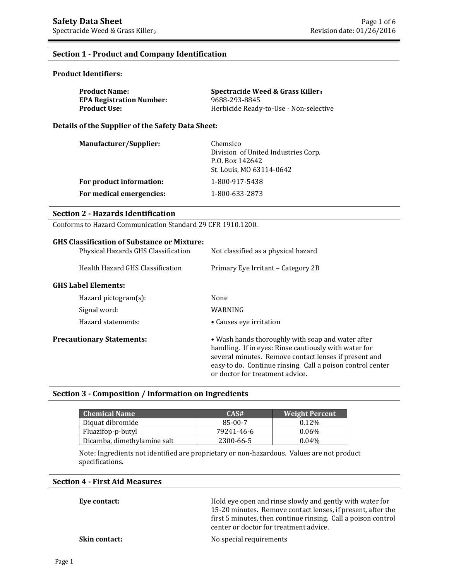## **Section 1 - Product and Company Identification**

#### **Product Identifiers:**

| <b>Product Name:</b>            | Spectracide Weed & Grass Killer <sub>3</sub> |
|---------------------------------|----------------------------------------------|
| <b>EPA Registration Number:</b> | 9688-293-8845                                |
| <b>Product Use:</b>             | Herbicide Ready-to-Use - Non-selective       |

**Details of the Supplier of the Safety Data Sheet:**

| Manufacturer/Supplier:   | Chemsico<br>Division of United Industries Corp.<br>P.O. Box 142642<br>St. Louis, MO 63114-0642 |
|--------------------------|------------------------------------------------------------------------------------------------|
| For product information: | 1-800-917-5438                                                                                 |
| For medical emergencies: | 1-800-633-2873                                                                                 |

#### **Section 2 - Hazards Identification**

Conforms to Hazard Communication Standard 29 CFR 1910.1200.

| <b>GHS Classification of Substance or Mixture:</b><br>Physical Hazards GHS Classification | Not classified as a physical hazard                                                                                                                                                                                                                                  |
|-------------------------------------------------------------------------------------------|----------------------------------------------------------------------------------------------------------------------------------------------------------------------------------------------------------------------------------------------------------------------|
| Health Hazard GHS Classification                                                          | Primary Eye Irritant – Category 2B                                                                                                                                                                                                                                   |
| <b>GHS Label Elements:</b>                                                                |                                                                                                                                                                                                                                                                      |
| Hazard pictogram $(s)$ :                                                                  | None                                                                                                                                                                                                                                                                 |
| Signal word:                                                                              | WARNING                                                                                                                                                                                                                                                              |
| Hazard statements:                                                                        | • Causes eye irritation                                                                                                                                                                                                                                              |
| <b>Precautionary Statements:</b>                                                          | • Wash hands thoroughly with soap and water after<br>handling. If in eyes: Rinse cautiously with water for<br>several minutes. Remove contact lenses if present and<br>easy to do. Continue rinsing. Call a poison control center<br>or doctor for treatment advice. |

## **Section 3 - Composition / Information on Ingredients**

| <b>Chemical Name</b>        | CAS#       | <b>Weight Percent</b> |
|-----------------------------|------------|-----------------------|
| Diquat dibromide            | 85-00-7    | $0.12\%$              |
| Fluazifop-p-butyl           | 79241-46-6 | $0.06\%$              |
| Dicamba, dimethylamine salt | 2300-66-5  | 0.04%                 |

Note: Ingredients not identified are proprietary or non-hazardous. Values are not product specifications.

# **Section 4 - First Aid Measures**

**Eye contact: Exercise 3** Hold eye open and rinse slowly and gently with water for 15-20 minutes. Remove contact lenses, if present, after the first 5 minutes, then continue rinsing. Call a poison control center or doctor for treatment advice.

**Skin contact:** No special requirements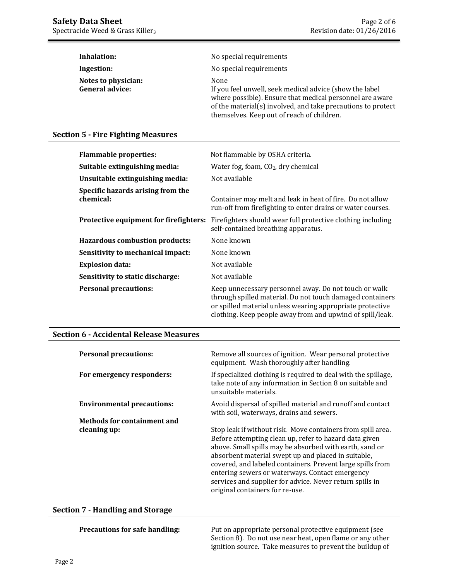| Inhalation:                                   | No special requirements                                                                                                                                                                                                                   |
|-----------------------------------------------|-------------------------------------------------------------------------------------------------------------------------------------------------------------------------------------------------------------------------------------------|
| Ingestion:                                    | No special requirements                                                                                                                                                                                                                   |
| Notes to physician:<br><b>General advice:</b> | None<br>If you feel unwell, seek medical advice (show the label<br>where possible). Ensure that medical personnel are aware<br>of the material(s) involved, and take precautions to protect<br>themselves. Keep out of reach of children. |

## **Section 5 - Fire Fighting Measures**

| <b>Flammable properties:</b>                   | Not flammable by OSHA criteria.                                                                                                                                                                                                              |
|------------------------------------------------|----------------------------------------------------------------------------------------------------------------------------------------------------------------------------------------------------------------------------------------------|
| Suitable extinguishing media:                  | Water fog, foam, $CO2$ , dry chemical                                                                                                                                                                                                        |
| Unsuitable extinguishing media:                | Not available                                                                                                                                                                                                                                |
| Specific hazards arising from the<br>chemical: | Container may melt and leak in heat of fire. Do not allow<br>run-off from firefighting to enter drains or water courses.                                                                                                                     |
| Protective equipment for firefighters:         | Firefighters should wear full protective clothing including<br>self-contained breathing apparatus.                                                                                                                                           |
| <b>Hazardous combustion products:</b>          | None known                                                                                                                                                                                                                                   |
| Sensitivity to mechanical impact:              | None known                                                                                                                                                                                                                                   |
| <b>Explosion data:</b>                         | Not available                                                                                                                                                                                                                                |
| Sensitivity to static discharge:               | Not available                                                                                                                                                                                                                                |
| <b>Personal precautions:</b>                   | Keep unnecessary personnel away. Do not touch or walk<br>through spilled material. Do not touch damaged containers<br>or spilled material unless wearing appropriate protective<br>clothing. Keep people away from and upwind of spill/leak. |

#### **Section 6 - Accidental Release Measures**

| <b>Personal precautions:</b>       | Remove all sources of ignition. Wear personal protective<br>equipment. Wash thoroughly after handling.                                                                                                                                                                                                                                                                                                                                                  |
|------------------------------------|---------------------------------------------------------------------------------------------------------------------------------------------------------------------------------------------------------------------------------------------------------------------------------------------------------------------------------------------------------------------------------------------------------------------------------------------------------|
| For emergency responders:          | If specialized clothing is required to deal with the spillage,<br>take note of any information in Section 8 on suitable and<br>unsuitable materials.                                                                                                                                                                                                                                                                                                    |
| <b>Environmental precautions:</b>  | Avoid dispersal of spilled material and runoff and contact<br>with soil, waterways, drains and sewers.                                                                                                                                                                                                                                                                                                                                                  |
| <b>Methods for containment and</b> |                                                                                                                                                                                                                                                                                                                                                                                                                                                         |
| cleaning up:                       | Stop leak if without risk. Move containers from spill area.<br>Before attempting clean up, refer to hazard data given<br>above. Small spills may be absorbed with earth, sand or<br>absorbent material swept up and placed in suitable,<br>covered, and labeled containers. Prevent large spills from<br>entering sewers or waterways. Contact emergency<br>services and supplier for advice. Never return spills in<br>original containers for re-use. |

#### **Section 7 - Handling and Storage**

**Precautions for safe handling:** Put on appropriate personal protective equipment (see Section 8). Do not use near heat, open flame or any other ignition source. Take measures to prevent the buildup of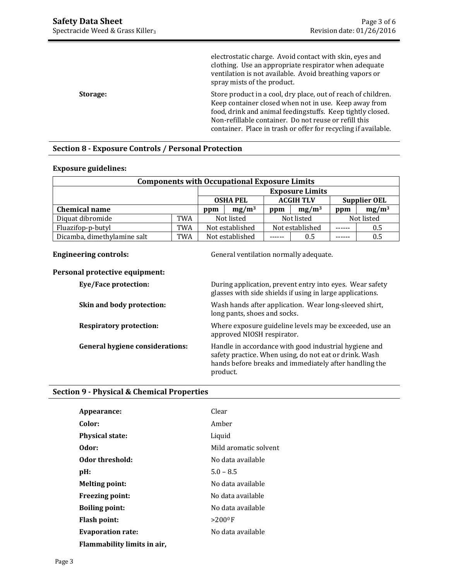|                 | electrostatic charge. Avoid contact with skin, eyes and<br>clothing. Use an appropriate respirator when adequate<br>ventilation is not available. Avoid breathing vapors or<br>spray mists of the product. |
|-----------------|------------------------------------------------------------------------------------------------------------------------------------------------------------------------------------------------------------|
| <b>Storage:</b> | Store product in a cool, dry place, out of reach of children.<br>Keep container closed when not in use. Keep away from<br>food, drink and animal feedingstuffs. Keep tightly closed.                       |
|                 | Non-refillable container. Do not reuse or refill this                                                                                                                                                      |
|                 | container. Place in trash or offer for recycling if available.                                                                                                                                             |

## **Section 8 - Exposure Controls / Personal Protection**

#### **Exposure guidelines:**

| <b>Components with Occupational Exposure Limits</b> |            |                                                            |  |            |                 |     |            |
|-----------------------------------------------------|------------|------------------------------------------------------------|--|------------|-----------------|-----|------------|
| <b>Exposure Limits</b>                              |            |                                                            |  |            |                 |     |            |
|                                                     |            | <b>ACGIH TLV</b><br><b>Supplier OEL</b><br><b>OSHA PEL</b> |  |            |                 |     |            |
| <b>Chemical name</b>                                |            | $mg/m^3$<br>ppm                                            |  | ppm        | $mg/m^3$        | ppm | $mg/m^3$   |
| Diquat dibromide                                    | <b>TWA</b> | Not listed                                                 |  | Not listed |                 |     | Not listed |
| Fluazifop-p-butyl                                   | TWA        | Not established                                            |  |            | Not established |     | 0.5        |
| Dicamba, dimethylamine salt                         | TWA        | Not established                                            |  |            | 0.5             |     | 0.5        |

**Engineering controls:** General ventilation normally adequate.

# **Personal protective equipment:**

| <b>Eye/Face protection:</b>            | During application, prevent entry into eyes. Wear safety<br>glasses with side shields if using in large applications.                                                                 |
|----------------------------------------|---------------------------------------------------------------------------------------------------------------------------------------------------------------------------------------|
| Skin and body protection:              | Wash hands after application. Wear long-sleeved shirt,<br>long pants, shoes and socks.                                                                                                |
| <b>Respiratory protection:</b>         | Where exposure guideline levels may be exceeded, use an<br>approved NIOSH respirator.                                                                                                 |
| <b>General hygiene considerations:</b> | Handle in accordance with good industrial hygiene and<br>safety practice. When using, do not eat or drink. Wash<br>hands before breaks and immediately after handling the<br>product. |

# **Section 9 - Physical & Chemical Properties**

| Appearance:                 | Clear                  |
|-----------------------------|------------------------|
| Color:                      | Amber                  |
| <b>Physical state:</b>      | Liquid                 |
| Odor:                       | Mild aromatic solvent  |
| Odor threshold:             | No data available      |
| pH:                         | $5.0 - 8.5$            |
| <b>Melting point:</b>       | No data available      |
| <b>Freezing point:</b>      | No data available      |
| <b>Boiling point:</b>       | No data available      |
| <b>Flash point:</b>         | $>$ 200 <sup>0</sup> F |
| <b>Evaporation rate:</b>    | No data available      |
| Flammability limits in air, |                        |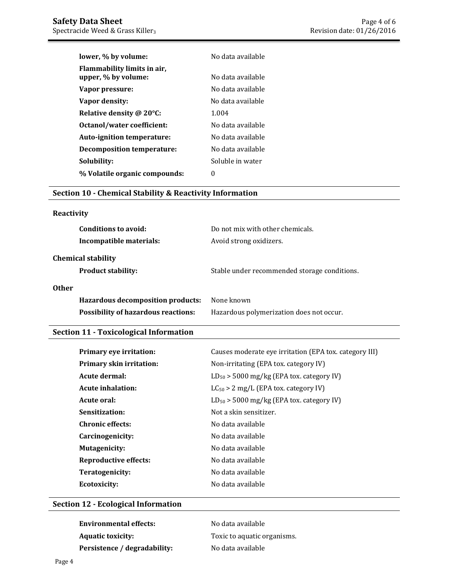| lower, % by volume:                                | No data available |
|----------------------------------------------------|-------------------|
| Flammability limits in air.<br>upper, % by volume: | No data available |
| Vapor pressure:                                    | No data available |
| Vapor density:                                     | No data available |
| Relative density @ 20°C:                           | 1.004             |
| Octanol/water coefficient:                         | No data available |
| Auto-ignition temperature:                         | No data available |
| <b>Decomposition temperature:</b>                  | No data available |
| Solubility:                                        | Soluble in water  |
| % Volatile organic compounds:                      | $\theta$          |

## **Section 10 - Chemical Stability & Reactivity Information**

# **Reactivity**

| Do not mix with other chemicals.<br>Avoid strong oxidizers. |
|-------------------------------------------------------------|
| Stable under recommended storage conditions.                |
| None known<br>Hazardous polymerization does not occur.      |
|                                                             |

# **Section 11 - Toxicological Information**

| Primary eye irritation:         | Causes moderate eye irritation (EPA tox. category III) |
|---------------------------------|--------------------------------------------------------|
| <b>Primary skin irritation:</b> | Non-irritating (EPA tox. category IV)                  |
| Acute dermal:                   | $LD_{50}$ > 5000 mg/kg (EPA tox. category IV)          |
| <b>Acute inhalation:</b>        | $LC_{50} > 2$ mg/L (EPA tox. category IV)              |
| Acute oral:                     | $LD_{50}$ > 5000 mg/kg (EPA tox. category IV)          |
| Sensitization:                  | Not a skin sensitizer.                                 |
| <b>Chronic effects:</b>         | No data available                                      |
| Carcinogenicity:                | No data available                                      |
| <b>Mutagenicity:</b>            | No data available                                      |
| <b>Reproductive effects:</b>    | No data available                                      |
| Teratogenicity:                 | No data available                                      |
| <b>Ecotoxicity:</b>             | No data available                                      |

## **Section 12 - Ecological Information**

| <b>Environmental effects:</b> | No data available           |
|-------------------------------|-----------------------------|
| <b>Aquatic toxicity:</b>      | Toxic to aquatic organisms. |
| Persistence / degradability:  | No data available           |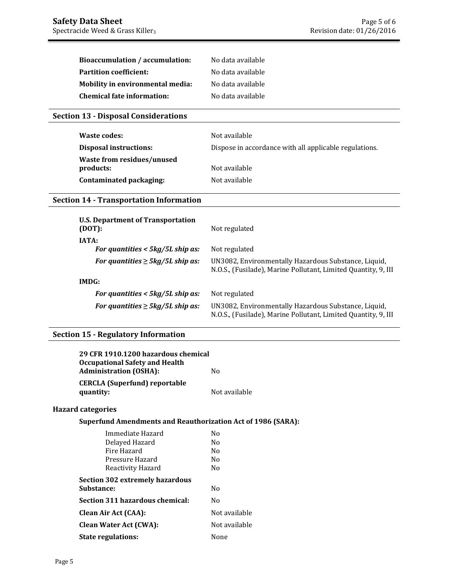| Bioaccumulation / accumulation:  | No data available |
|----------------------------------|-------------------|
| <b>Partition coefficient:</b>    | No data available |
| Mobility in environmental media: | No data available |
| Chemical fate information:       | No data available |

# **Section 13 - Disposal Considerations**

| Waste codes:                            | Not available                                          |
|-----------------------------------------|--------------------------------------------------------|
| <b>Disposal instructions:</b>           | Dispose in accordance with all applicable regulations. |
| Waste from residues/unused<br>products: | Not available                                          |
| Contaminated packaging:                 | Not available                                          |

# **Section 14 - Transportation Information**

| <b>U.S. Department of Transportation</b><br>(DOT): | Not regulated                                                                                                          |
|----------------------------------------------------|------------------------------------------------------------------------------------------------------------------------|
| <b>IATA:</b>                                       |                                                                                                                        |
| For quantities $<$ 5kg/5L ship as:                 | Not regulated                                                                                                          |
| For quantities $\geq$ 5kg/5L ship as:              | UN3082, Environmentally Hazardous Substance, Liquid,<br>N.O.S., (Fusilade), Marine Pollutant, Limited Quantity, 9, III |
| IMDG:                                              |                                                                                                                        |
| For quantities $<$ 5kg/5L ship as:                 | Not regulated                                                                                                          |
| For quantities $\geq 5 \frac{kg}{5L}$ ship as:     | UN3082, Environmentally Hazardous Substance, Liquid,<br>N.O.S., (Fusilade), Marine Pollutant, Limited Quantity, 9, III |

# **Section 15 - Regulatory Information**

| 29 CFR 1910.1200 hazardous chemical<br><b>Occupational Safety and Health</b> |                |
|------------------------------------------------------------------------------|----------------|
| <b>Administration (OSHA):</b>                                                | N <sub>0</sub> |
| <b>CERCLA (Superfund) reportable</b><br>quantity:                            | Not available  |
| <b>Hazard categories</b>                                                     |                |
| <b>Superfund Amendments and Reauthorization Act of 1986 (SARA):</b>          |                |
| Immediate Hazard                                                             | N <sub>0</sub> |
| Delayed Hazard                                                               | No.            |
| Fire Hazard                                                                  | N <sub>0</sub> |
| Pressure Hazard                                                              | N <sub>0</sub> |
| Reactivity Hazard                                                            | N <sub>0</sub> |
| <b>Section 302 extremely hazardous</b>                                       |                |
| Substance:                                                                   | N <sub>0</sub> |
| Section 311 hazardous chemical:                                              | N <sub>0</sub> |
| Clean Air Act (CAA):                                                         | Not available  |
| <b>Clean Water Act (CWA):</b>                                                | Not available  |
| <b>State regulations:</b>                                                    | None           |